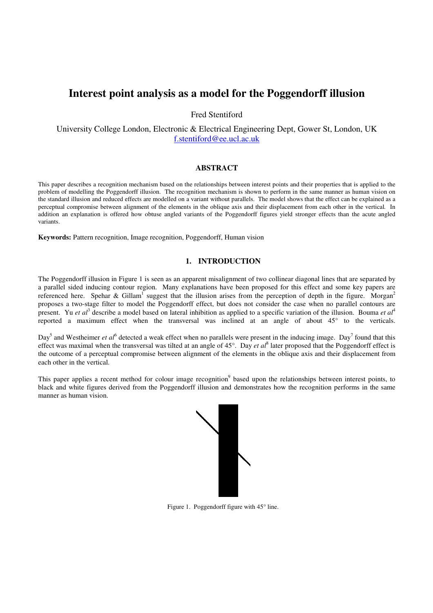# **Interest point analysis as a model for the Poggendorff illusion**

Fred Stentiford

## University College London, Electronic & Electrical Engineering Dept, Gower St, London, UK f.stentiford@ee.ucl.ac.uk

#### **ABSTRACT**

This paper describes a recognition mechanism based on the relationships between interest points and their properties that is applied to the problem of modelling the Poggendorff illusion. The recognition mechanism is shown to perform in the same manner as human vision on the standard illusion and reduced effects are modelled on a variant without parallels. The model shows that the effect can be explained as a perceptual compromise between alignment of the elements in the oblique axis and their displacement from each other in the vertical*.* In addition an explanation is offered how obtuse angled variants of the Poggendorff figures yield stronger effects than the acute angled variants.

**Keywords:** Pattern recognition, Image recognition, Poggendorff, Human vision

### **1. INTRODUCTION**

The Poggendorff illusion in Figure 1 is seen as an apparent misalignment of two collinear diagonal lines that are separated by a parallel sided inducing contour region. Many explanations have been proposed for this effect and some key papers are referenced here. Spehar & Gillam<sup>1</sup> suggest that the illusion arises from the perception of depth in the figure. Morgan<sup>2</sup> proposes a two-stage filter to model the Poggendorff effect, but does not consider the case when no parallel contours are present. Yu *et al*<sup>3</sup> describe a model based on lateral inhibition as applied to a specific variation of the illusion. Bouma *et al*<sup>4</sup> reported a maximum effect when the transversal was inclined at an angle of about 45° to the verticals.

Day<sup>5</sup> and Westheimer *et al*<sup>6</sup> detected a weak effect when no parallels were present in the inducing image. Day<sup>7</sup> found that this effect was maximal when the transversal was tilted at an angle of 45°. Day *et al*<sup>8</sup> later proposed that the Poggendorff effect is the outcome of a perceptual compromise between alignment of the elements in the oblique axis and their displacement from each other in the vertical.

This paper applies a recent method for colour image recognition<sup>9</sup> based upon the relationships between interest points, to black and white figures derived from the Poggendorff illusion and demonstrates how the recognition performs in the same manner as human vision.



Figure 1. Poggendorff figure with 45° line.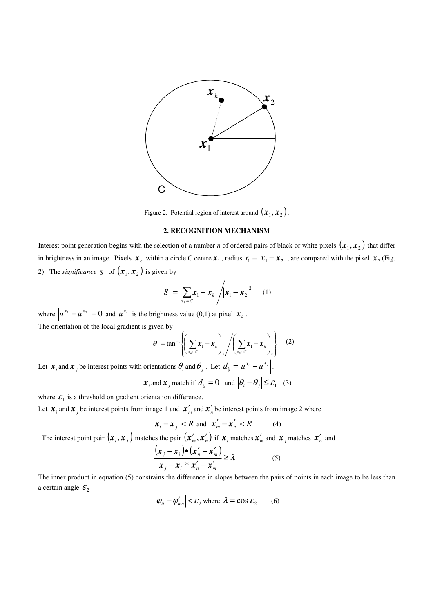

Figure 2. Potential region of interest around  $(x_1, x_2)$ .

#### **2. RECOGNITION MECHANISM**

Interest point generation begins with the selection of a number *n* of ordered pairs of black or white pixels  $(x_1, x_2)$  that differ in brightness in an image. Pixels  $\mathbf{x}_k$  within a circle C centre  $\mathbf{x}_1$ , radius  $r_1 = |\mathbf{x}_1 - \mathbf{x}_2|$ , are compared with the pixel  $\mathbf{x}_2$  (Fig. 2). The *significance S* of  $(x_1, x_2)$  is given by

$$
S = \left| \sum_{\mathbf{x}_k \in C} \mathbf{x}_1 - \mathbf{x}_k \right| / \left| \mathbf{x}_1 - \mathbf{x}_2 \right|^2 \quad (1)
$$

where  $|u^{x_k} - u^{x_2}| = 0$  and  $u^{x_k}$  is the brightness value (0,1) at pixel  $x_k$ . The orientation of the local gradient is given by

$$
\theta = \tan^{-1}\left\{ \left( \sum_{x_k \in C} x_1 - x_k \right)_y / \left( \sum_{x_k \in C} x_1 - x_k \right)_x \right\} \tag{2}
$$

Let  $\mathbf{x}_i$  and  $\mathbf{x}_j$  be interest points with orientations  $\theta_i$  and  $\theta_j$ . Let  $d_{ij} = |u^{x_i} - u^{x_j}|$ .

$$
\boldsymbol{x}_i
$$
 and  $\boldsymbol{x}_j$  match if  $d_{ij} = 0$  and  $|\boldsymbol{\theta}_i - \boldsymbol{\theta}_j| \le \varepsilon_1$  (3)

where  $\mathcal{E}_1$  is a threshold on gradient orientation difference.

Let  $\mathbf{x}_i$  and  $\mathbf{x}_j$  be interest points from image 1 and  $\mathbf{x}'_m$  and  $\mathbf{x}'_n$  be interest points from image 2 where

$$
\left|\mathbf{x}_{i}-\mathbf{x}_{j}\right| < R \text{ and } \left|\mathbf{x}_{m}^{\prime}-\mathbf{x}_{n}^{\prime}\right| < R \tag{4}
$$

The interest point pair  $(x_i, x_j)$  matches the pair  $(x'_m, x'_n)$  if  $x_i$  matches  $x'_m$  and  $x_j$  matches  $x'_n$  and

$$
\frac{\left(\mathbf{x}_{j} - \mathbf{x}_{i}\right) \bullet \left(\mathbf{x}_{n}^{\'} - \mathbf{x}_{m}^{\'}\right)}{\left|\mathbf{x}_{j} - \mathbf{x}_{i}\right|^{*}\left|\mathbf{x}_{n}^{\'} - \mathbf{x}_{m}^{\'}\right|} \geq \lambda \tag{5}
$$

The inner product in equation (5) constrains the difference in slopes between the pairs of points in each image to be less than a certain angle  $\varepsilon$ <sub>2</sub>

$$
\left|\boldsymbol{\varphi}_{ij} - \boldsymbol{\varphi}'_{mn}\right| < \mathcal{E}_2 \text{ where } \lambda = \cos \mathcal{E}_2 \qquad (6)
$$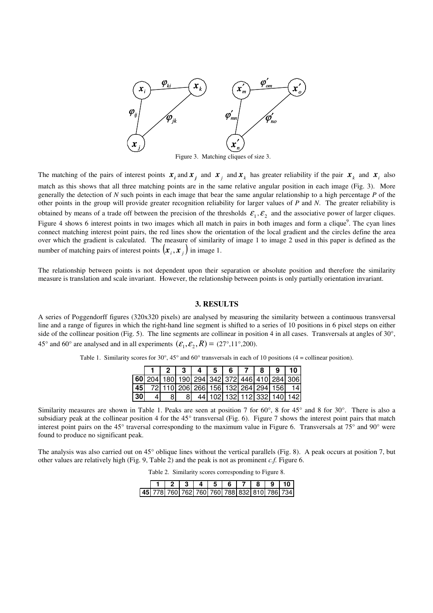

Figure 3. Matching cliques of size 3.

The matching of the pairs of interest points  $x_i$  and  $x_j$  and  $x_k$  has greater reliability if the pair  $x_k$  and  $x_i$  also match as this shows that all three matching points are in the same relative angular position in each image (Fig. 3). More generally the detection of *N* such points in each image that bear the same angular relationship to a high percentage *P* of the other points in the group will provide greater recognition reliability for larger values of *P* and *N*. The greater reliability is obtained by means of a trade off between the precision of the thresholds  $\mathcal{E}_1, \mathcal{E}_2$  and the associative power of larger cliques. Figure 4 shows 6 interest points in two images which all match in pairs in both images and form a clique<sup>9</sup>. The cyan lines connect matching interest point pairs, the red lines show the orientation of the local gradient and the circles define the area over which the gradient is calculated. The measure of similarity of image 1 to image 2 used in this paper is defined as the number of matching pairs of interest points  $(x_i, x_j)$  in image 1.

The relationship between points is not dependent upon their separation or absolute position and therefore the similarity measure is translation and scale invariant. However, the relationship between points is only partially orientation invariant.

#### **3. RESULTS**

A series of Poggendorff figures (320x320 pixels) are analysed by measuring the similarity between a continuous transversal line and a range of figures in which the right-hand line segment is shifted to a series of 10 positions in 6 pixel steps on either side of the collinear position (Fig. 5). The line segments are collinear in position 4 in all cases. Transversals at angles of 30°, 45° and 60° are analysed and in all experiments  $(\mathcal{E}_1, \mathcal{E}_2, R) = (27^{\circ}, 11^{\circ}, 200)$ .

|           |  |  |  |  | 1   2   3   4   5   6   7   8   9   10                 |  |
|-----------|--|--|--|--|--------------------------------------------------------|--|
|           |  |  |  |  | 60 204 180 190 294 342 372 446 410 284 306             |  |
|           |  |  |  |  | 45    72  110  206  266  156  132  264  294  156    14 |  |
| <b>30</b> |  |  |  |  | 8 8 44 102 132 112 332 140 142                         |  |

Table 1. Similarity scores for 30 $^{\circ}$ , 45 $^{\circ}$  and 60 $^{\circ}$  transversals in each of 10 positions (4 = collinear position).

Similarity measures are shown in Table 1. Peaks are seen at position 7 for 60°, 8 for 45° and 8 for 30°. There is also a subsidiary peak at the collinear position 4 for the 45° transversal (Fig. 6). Figure 7 shows the interest point pairs that match interest point pairs on the 45° traversal corresponding to the maximum value in Figure 6. Transversals at 75° and 90° were found to produce no significant peak.

The analysis was also carried out on 45° oblique lines without the vertical parallels (Fig. 8). A peak occurs at position 7, but other values are relatively high (Fig. 9, Table 2) and the peak is not as prominent *c.f.* Figure 6.

Table 2. Similarity scores corresponding to Figure 8.

|  |  | $1 \mid 2 \mid 3 \mid 4 \mid 5 \mid 6 \mid 7 \mid 8 \mid 9 \mid 10$ |  |  |  |  |
|--|--|---------------------------------------------------------------------|--|--|--|--|
|  |  | 45 778 760 762 760 760 788 832 810 786 734                          |  |  |  |  |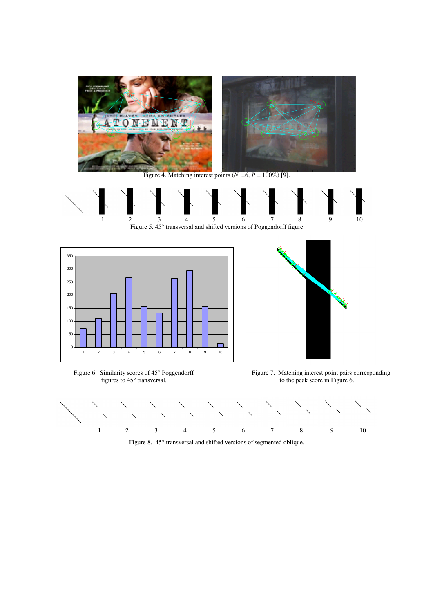







Figure 6. Similarity scores of 45° Poggendorff Figure 7. Matching interest point pairs corresponding figures to 45° transversal. to the peak score in Figure 6.



Figure 8. 45° transversal and shifted versions of segmented oblique.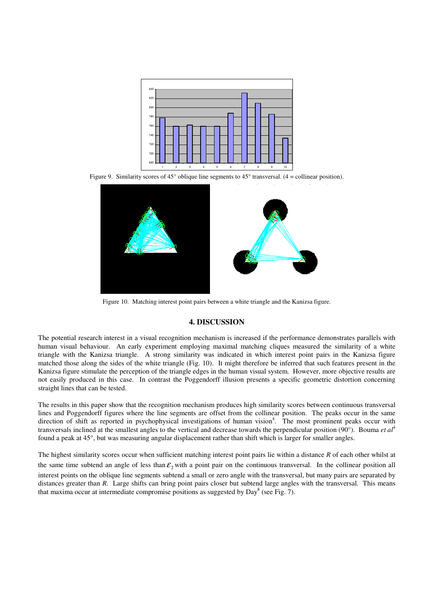

Figure 9. Similarity scores of 45° oblique line segments to 45° transversal. (4 = collinear position).



Figure 10. Matching interest point pairs between a white triangle and the Kanizsa figure.

## **4. DISCUSSION**

The potential research interest in a visual recognition mechanism is increased if the performance demonstrates parallels with human visual behaviour. An early experiment employing maximal matching cliques measured the similarity of a white triangle with the Kanizsa triangle. A strong similarity was indicated in which interest point pairs in the Kanizsa figure matched those along the sides of the white triangle (Fig. 10). It might therefore be inferred that such features present in the Kanizsa figure stimulate the perception of the triangle edges in the human visual system. However, more objective results are not easily produced in this case. In contrast the Poggendorff illusion presents a specific geometric distortion concerning straight lines that can be tested.

The results in this paper show that the recognition mechanism produces high similarity scores between continuous transversal lines and Poggendorff figures where the line segments are offset from the collinear position. The peaks occur in the same direction of shift as reported in psychophysical investigations of human vision<sup>4</sup>. The most prominent peaks occur with transversals inclined at the smallest angles to the vertical and decrease towards the perpendicular position (90°). Bouma *et al*<sup>4</sup> found a peak at 45°, but was measuring angular displacement rather than shift which is larger for smaller angles.

The highest similarity scores occur when sufficient matching interest point pairs lie within a distance *R* of each other whilst at the same time subtend an angle of less than  $\mathcal{E}_2$  with a point pair on the continuous transversal. In the collinear position all interest points on the oblique line segments subtend a small or zero angle with the transversal, but many pairs are separated by distances greater than *R*. Large shifts can bring point pairs closer but subtend large angles with the transversal. This means that maxima occur at intermediate compromise positions as suggested by Day<sup>8</sup> (see Fig. 7).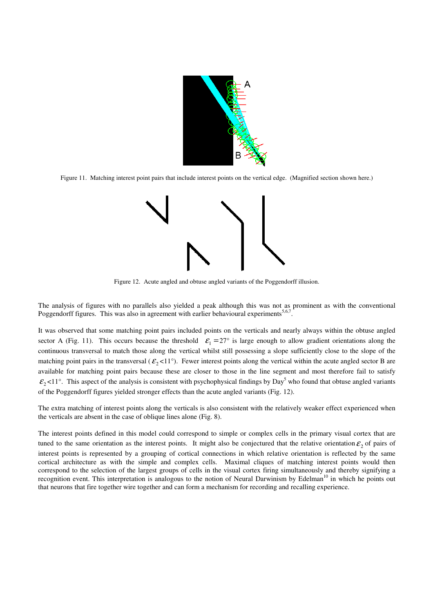

Figure 11. Matching interest point pairs that include interest points on the vertical edge. (Magnified section shown here.)



Figure 12. Acute angled and obtuse angled variants of the Poggendorff illusion.

The analysis of figures with no parallels also yielded a peak although this was not as prominent as with the conventional Poggendorff figures. This was also in agreement with earlier behavioural experiments<sup>5,6,7</sup> .

It was observed that some matching point pairs included points on the verticals and nearly always within the obtuse angled sector A (Fig. 11). This occurs because the threshold  $\mathcal{E}_1 = 27^\circ$  is large enough to allow gradient orientations along the continuous transversal to match those along the vertical whilst still possessing a slope sufficiently close to the slope of the matching point pairs in the transversal ( $\mathcal{E}_2$ <11°). Fewer interest points along the vertical within the acute angled sector B are available for matching point pairs because these are closer to those in the line segment and most therefore fail to satisfy  $\mathcal{E}_2$ <11°. This aspect of the analysis is consistent with psychophysical findings by Day<sup>5</sup> who found that obtuse angled variants of the Poggendorff figures yielded stronger effects than the acute angled variants (Fig. 12).

The extra matching of interest points along the verticals is also consistent with the relatively weaker effect experienced when the verticals are absent in the case of oblique lines alone (Fig. 8).

The interest points defined in this model could correspond to simple or complex cells in the primary visual cortex that are tuned to the same orientation as the interest points. It might also be conjectured that the relative orientation  $\mathcal{E}_2$  of pairs of interest points is represented by a grouping of cortical connections in which relative orientation is reflected by the same cortical architecture as with the simple and complex cells. Maximal cliques of matching interest points would then correspond to the selection of the largest groups of cells in the visual cortex firing simultaneously and thereby signifying a recognition event. This interpretation is analogous to the notion of Neural Darwinism by Edelman<sup>10</sup> in which he points out that neurons that fire together wire together and can form a mechanism for recording and recalling experience.